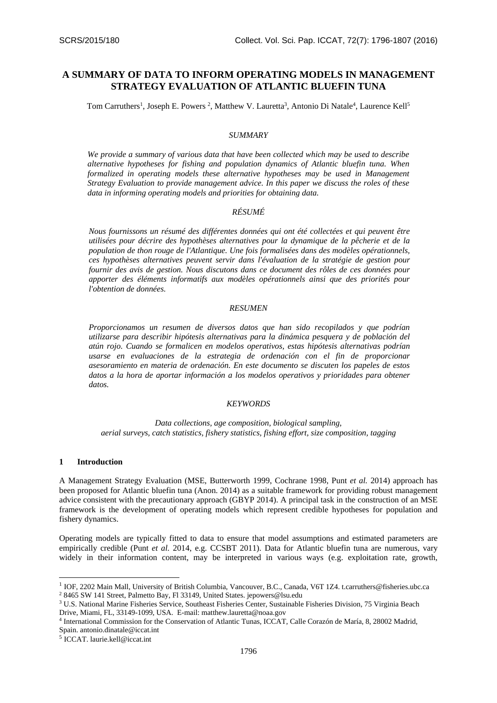# **A SUMMARY OF DATA TO INFORM OPERATING MODELS IN MANAGEMENT STRATEGY EVALUATION OF ATLANTIC BLUEFIN TUNA**

Tom Carruthers<sup>1</sup>, Joseph E. Powers<sup>2</sup>, Matthew V. Lauretta<sup>3</sup>, Antonio Di Natale<sup>4</sup>, Laurence Kell<sup>5</sup>

#### *SUMMARY*

*We provide a summary of various data that have been collected which may be used to describe alternative hypotheses for fishing and population dynamics of Atlantic bluefin tuna. When formalized in operating models these alternative hypotheses may be used in Management Strategy Evaluation to provide management advice. In this paper we discuss the roles of these data in informing operating models and priorities for obtaining data.* 

## *RÉSUMÉ*

*Nous fournissons un résumé des différentes données qui ont été collectées et qui peuvent être utilisées pour décrire des hypothèses alternatives pour la dynamique de la pêcherie et de la population de thon rouge de l'Atlantique. Une fois formalisées dans des modèles opérationnels, ces hypothèses alternatives peuvent servir dans l'évaluation de la stratégie de gestion pour fournir des avis de gestion. Nous discutons dans ce document des rôles de ces données pour apporter des éléments informatifs aux modèles opérationnels ainsi que des priorités pour l'obtention de données.* 

#### *RESUMEN*

*Proporcionamos un resumen de diversos datos que han sido recopilados y que podrían utilizarse para describir hipótesis alternativas para la dinámica pesquera y de población del atún rojo. Cuando se formalicen en modelos operativos, estas hipótesis alternativas podrían usarse en evaluaciones de la estrategia de ordenación con el fin de proporcionar asesoramiento en materia de ordenación. En este documento se discuten los papeles de estos datos a la hora de aportar información a los modelos operativos y prioridades para obtener datos.* 

#### *KEYWORDS*

*Data collections, age composition, biological sampling, aerial surveys, catch statistics, fishery statistics, fishing effort, size composition, tagging*

#### **1 Introduction**

-

A Management Strategy Evaluation (MSE, Butterworth 1999, Cochrane 1998, Punt *et al.* 2014) approach has been proposed for Atlantic bluefin tuna (Anon. 2014) as a suitable framework for providing robust management advice consistent with the precautionary approach (GBYP 2014). A principal task in the construction of an MSE framework is the development of operating models which represent credible hypotheses for population and fishery dynamics.

Operating models are typically fitted to data to ensure that model assumptions and estimated parameters are empirically credible (Punt *et al.* 2014, e.g. CCSBT 2011). Data for Atlantic bluefin tuna are numerous, vary widely in their information content, may be interpreted in various ways (e.g. exploitation rate, growth,

5 ICCAT. laurie.kell@iccat.int

<sup>&</sup>lt;sup>1</sup> IOF, 2202 Main Mall, University of British Columbia, Vancouver, B.C., Canada, V6T 1Z4. t.carruthers@fisheries.ubc.ca <sup>2</sup> 8465 SW 141 Street, Palmetto Bay, Fl 33149, United States. jepowers@lsu.edu

<sup>3</sup> U.S. National Marine Fisheries Service, Southeast Fisheries Center, Sustainable Fisheries Division, 75 Virginia Beach Drive, Miami, FL, 33149-1099, USA. E-mail: matthew.lauretta@noaa.gov

<sup>4</sup> International Commission for the Conservation of Atlantic Tunas, ICCAT, Calle Corazón de María, 8, 28002 Madrid, Spain. antonio.dinatale@iccat.int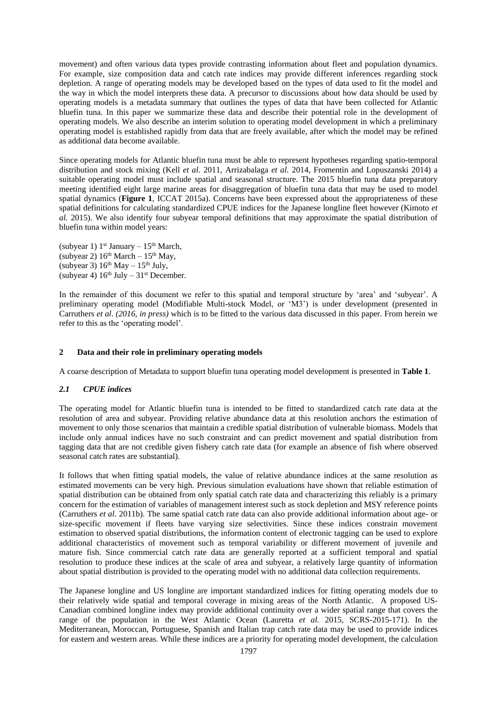movement) and often various data types provide contrasting information about fleet and population dynamics. For example, size composition data and catch rate indices may provide different inferences regarding stock depletion. A range of operating models may be developed based on the types of data used to fit the model and the way in which the model interprets these data. A precursor to discussions about how data should be used by operating models is a metadata summary that outlines the types of data that have been collected for Atlantic bluefin tuna. In this paper we summarize these data and describe their potential role in the development of operating models. We also describe an interim solution to operating model development in which a preliminary operating model is established rapidly from data that are freely available, after which the model may be refined as additional data become available.

Since operating models for Atlantic bluefin tuna must be able to represent hypotheses regarding spatio-temporal distribution and stock mixing (Kell *et al.* 2011, Arrizabalaga *et al.* 2014, Fromentin and Lopuszanski 2014) a suitable operating model must include spatial and seasonal structure. The 2015 bluefin tuna data preparatory meeting identified eight large marine areas for disaggregation of bluefin tuna data that may be used to model spatial dynamics (**Figure 1**, ICCAT 2015a). Concerns have been expressed about the appropriateness of these spatial definitions for calculating standardized CPUE indices for the Japanese longline fleet however (Kimoto *et al.* 2015). We also identify four subyear temporal definitions that may approximate the spatial distribution of bluefin tuna within model years:

(subyear 1)  $1^{st}$  January –  $15^{th}$  March, (subyear 2)  $16<sup>th</sup> March - 15<sup>th</sup> May,$ (subyear 3)  $16^{th}$  May  $- 15^{th}$  July, (subyear 4)  $16<sup>th</sup>$  July –  $31<sup>st</sup>$  December.

In the remainder of this document we refer to this spatial and temporal structure by 'area' and 'subyear'. A preliminary operating model (Modifiable Multi-stock Model, or 'M3') is under development (presented in Carruthers *et al*. *(2016, in press)* which is to be fitted to the various data discussed in this paper. From herein we refer to this as the 'operating model'.

### **2 Data and their role in preliminary operating models**

A coarse description of Metadata to support bluefin tuna operating model development is presented in **Table 1**.

#### *2.1 CPUE indices*

The operating model for Atlantic bluefin tuna is intended to be fitted to standardized catch rate data at the resolution of area and subyear. Providing relative abundance data at this resolution anchors the estimation of movement to only those scenarios that maintain a credible spatial distribution of vulnerable biomass. Models that include only annual indices have no such constraint and can predict movement and spatial distribution from tagging data that are not credible given fishery catch rate data (for example an absence of fish where observed seasonal catch rates are substantial).

It follows that when fitting spatial models, the value of relative abundance indices at the same resolution as estimated movements can be very high. Previous simulation evaluations have shown that reliable estimation of spatial distribution can be obtained from only spatial catch rate data and characterizing this reliably is a primary concern for the estimation of variables of management interest such as stock depletion and MSY reference points (Carruthers *et al.* 2011b). The same spatial catch rate data can also provide additional information about age- or size-specific movement if fleets have varying size selectivities. Since these indices constrain movement estimation to observed spatial distributions, the information content of electronic tagging can be used to explore additional characteristics of movement such as temporal variability or different movement of juvenile and mature fish. Since commercial catch rate data are generally reported at a sufficient temporal and spatial resolution to produce these indices at the scale of area and subyear, a relatively large quantity of information about spatial distribution is provided to the operating model with no additional data collection requirements.

The Japanese longline and US longline are important standardized indices for fitting operating models due to their relatively wide spatial and temporal coverage in mixing areas of the North Atlantic. A proposed US-Canadian combined longline index may provide additional continuity over a wider spatial range that covers the range of the population in the West Atlantic Ocean (Lauretta *et al.* 2015, SCRS-2015-171). In the Mediterranean, Moroccan, Portuguese, Spanish and Italian trap catch rate data may be used to provide indices for eastern and western areas. While these indices are a priority for operating model development, the calculation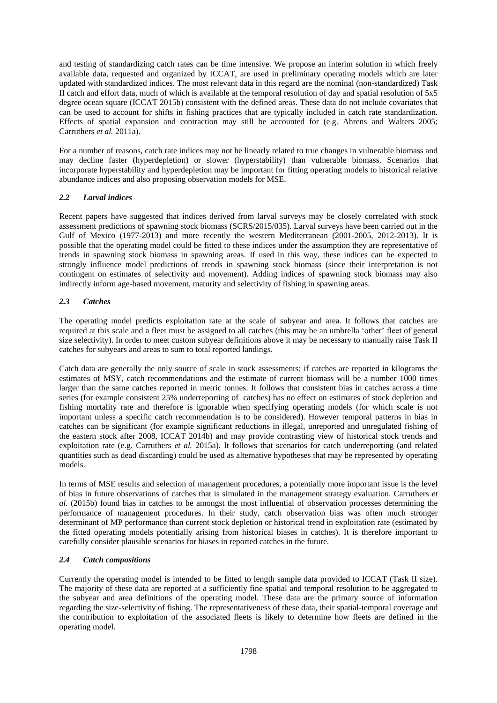and testing of standardizing catch rates can be time intensive. We propose an interim solution in which freely available data, requested and organized by ICCAT, are used in preliminary operating models which are later updated with standardized indices. The most relevant data in this regard are the nominal (non-standardized) Task II catch and effort data, much of which is available at the temporal resolution of day and spatial resolution of 5x5 degree ocean square (ICCAT 2015b) consistent with the defined areas. These data do not include covariates that can be used to account for shifts in fishing practices that are typically included in catch rate standardization. Effects of spatial expansion and contraction may still be accounted for (e.g. Ahrens and Walters 2005; Carruthers *et al.* 2011a).

For a number of reasons, catch rate indices may not be linearly related to true changes in vulnerable biomass and may decline faster (hyperdepletion) or slower (hyperstability) than vulnerable biomass. Scenarios that incorporate hyperstability and hyperdepletion may be important for fitting operating models to historical relative abundance indices and also proposing observation models for MSE.

## *2.2 Larval indices*

Recent papers have suggested that indices derived from larval surveys may be closely correlated with stock assessment predictions of spawning stock biomass (SCRS/2015/035). Larval surveys have been carried out in the Gulf of Mexico (1977-2013) and more recently the western Mediterranean (2001-2005, 2012-2013). It is possible that the operating model could be fitted to these indices under the assumption they are representative of trends in spawning stock biomass in spawning areas. If used in this way, these indices can be expected to strongly influence model predictions of trends in spawning stock biomass (since their interpretation is not contingent on estimates of selectivity and movement). Adding indices of spawning stock biomass may also indirectly inform age-based movement, maturity and selectivity of fishing in spawning areas.

# *2.3 Catches*

The operating model predicts exploitation rate at the scale of subyear and area. It follows that catches are required at this scale and a fleet must be assigned to all catches (this may be an umbrella 'other' fleet of general size selectivity). In order to meet custom subyear definitions above it may be necessary to manually raise Task II catches for subyears and areas to sum to total reported landings.

Catch data are generally the only source of scale in stock assessments: if catches are reported in kilograms the estimates of MSY, catch recommendations and the estimate of current biomass will be a number 1000 times larger than the same catches reported in metric tonnes. It follows that consistent bias in catches across a time series (for example consistent 25% underreporting of catches) has no effect on estimates of stock depletion and fishing mortality rate and therefore is ignorable when specifying operating models (for which scale is not important unless a specific catch recommendation is to be considered). However temporal patterns in bias in catches can be significant (for example significant reductions in illegal, unreported and unregulated fishing of the eastern stock after 2008, ICCAT 2014b) and may provide contrasting view of historical stock trends and exploitation rate (e.g. Carruthers *et al.* 2015a). It follows that scenarios for catch underreporting (and related quantities such as dead discarding) could be used as alternative hypotheses that may be represented by operating models.

In terms of MSE results and selection of management procedures, a potentially more important issue is the level of bias in future observations of catches that is simulated in the management strategy evaluation. Carruthers *et al.* (2015b) found bias in catches to be amongst the most influential of observation processes determining the performance of management procedures. In their study, catch observation bias was often much stronger determinant of MP performance than current stock depletion or historical trend in exploitation rate (estimated by the fitted operating models potentially arising from historical biases in catches). It is therefore important to carefully consider plausible scenarios for biases in reported catches in the future.

## *2.4 Catch compositions*

Currently the operating model is intended to be fitted to length sample data provided to ICCAT (Task II size). The majority of these data are reported at a sufficiently fine spatial and temporal resolution to be aggregated to the subyear and area definitions of the operating model. These data are the primary source of information regarding the size-selectivity of fishing. The representativeness of these data, their spatial-temporal coverage and the contribution to exploitation of the associated fleets is likely to determine how fleets are defined in the operating model.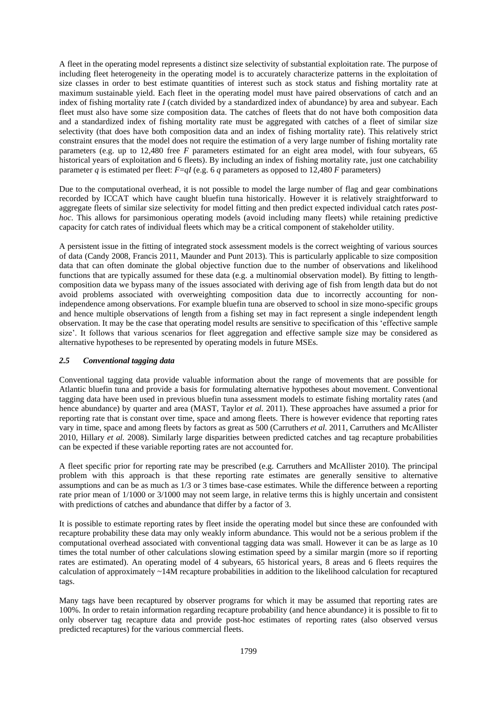A fleet in the operating model represents a distinct size selectivity of substantial exploitation rate. The purpose of including fleet heterogeneity in the operating model is to accurately characterize patterns in the exploitation of size classes in order to best estimate quantities of interest such as stock status and fishing mortality rate at maximum sustainable yield. Each fleet in the operating model must have paired observations of catch and an index of fishing mortality rate *I* (catch divided by a standardized index of abundance) by area and subyear. Each fleet must also have some size composition data. The catches of fleets that do not have both composition data and a standardized index of fishing mortality rate must be aggregated with catches of a fleet of similar size selectivity (that does have both composition data and an index of fishing mortality rate). This relatively strict constraint ensures that the model does not require the estimation of a very large number of fishing mortality rate parameters (e.g. up to 12,480 free *F* parameters estimated for an eight area model, with four subyears, 65 historical years of exploitation and 6 fleets). By including an index of fishing mortality rate, just one catchability parameter *q* is estimated per fleet:  $F=qI$  (e.g. 6 *q* parameters as opposed to 12,480 *F* parameters)

Due to the computational overhead, it is not possible to model the large number of flag and gear combinations recorded by ICCAT which have caught bluefin tuna historically. However it is relatively straightforward to aggregate fleets of similar size selectivity for model fitting and then predict expected individual catch rates *posthoc*. This allows for parsimonious operating models (avoid including many fleets) while retaining predictive capacity for catch rates of individual fleets which may be a critical component of stakeholder utility.

A persistent issue in the fitting of integrated stock assessment models is the correct weighting of various sources of data (Candy 2008, Francis 2011, Maunder and Punt 2013). This is particularly applicable to size composition data that can often dominate the global objective function due to the number of observations and likelihood functions that are typically assumed for these data (e.g. a multinomial observation model). By fitting to lengthcomposition data we bypass many of the issues associated with deriving age of fish from length data but do not avoid problems associated with overweighting composition data due to incorrectly accounting for nonindependence among observations. For example bluefin tuna are observed to school in size mono-specific groups and hence multiple observations of length from a fishing set may in fact represent a single independent length observation. It may be the case that operating model results are sensitive to specification of this 'effective sample size'. It follows that various scenarios for fleet aggregation and effective sample size may be considered as alternative hypotheses to be represented by operating models in future MSEs.

## *2.5 Conventional tagging data*

Conventional tagging data provide valuable information about the range of movements that are possible for Atlantic bluefin tuna and provide a basis for formulating alternative hypotheses about movement. Conventional tagging data have been used in previous bluefin tuna assessment models to estimate fishing mortality rates (and hence abundance) by quarter and area (MAST, Taylor *et al.* 2011). These approaches have assumed a prior for reporting rate that is constant over time, space and among fleets. There is however evidence that reporting rates vary in time, space and among fleets by factors as great as 500 (Carruthers *et al.* 2011, Carruthers and McAllister 2010, Hillary *et al.* 2008). Similarly large disparities between predicted catches and tag recapture probabilities can be expected if these variable reporting rates are not accounted for.

A fleet specific prior for reporting rate may be prescribed (e.g. Carruthers and McAllister 2010). The principal problem with this approach is that these reporting rate estimates are generally sensitive to alternative assumptions and can be as much as 1/3 or 3 times base-case estimates. While the difference between a reporting rate prior mean of 1/1000 or 3/1000 may not seem large, in relative terms this is highly uncertain and consistent with predictions of catches and abundance that differ by a factor of 3.

It is possible to estimate reporting rates by fleet inside the operating model but since these are confounded with recapture probability these data may only weakly inform abundance. This would not be a serious problem if the computational overhead associated with conventional tagging data was small. However it can be as large as 10 times the total number of other calculations slowing estimation speed by a similar margin (more so if reporting rates are estimated). An operating model of 4 subyears, 65 historical years, 8 areas and 6 fleets requires the calculation of approximately ~14M recapture probabilities in addition to the likelihood calculation for recaptured tags.

Many tags have been recaptured by observer programs for which it may be assumed that reporting rates are 100%. In order to retain information regarding recapture probability (and hence abundance) it is possible to fit to only observer tag recapture data and provide post-hoc estimates of reporting rates (also observed versus predicted recaptures) for the various commercial fleets.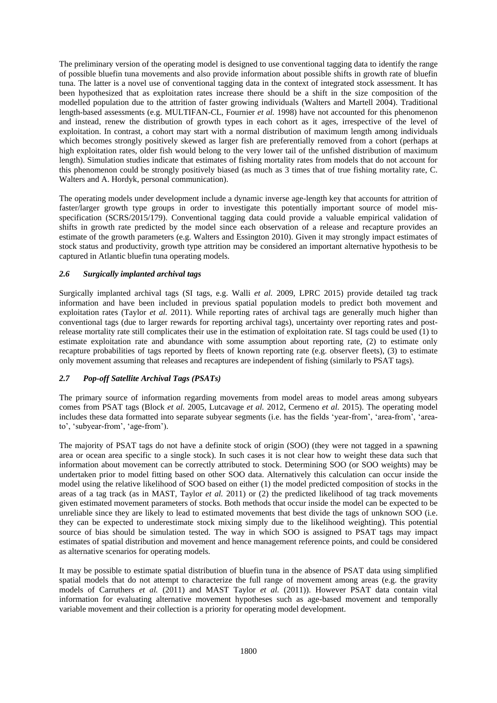The preliminary version of the operating model is designed to use conventional tagging data to identify the range of possible bluefin tuna movements and also provide information about possible shifts in growth rate of bluefin tuna. The latter is a novel use of conventional tagging data in the context of integrated stock assessment. It has been hypothesized that as exploitation rates increase there should be a shift in the size composition of the modelled population due to the attrition of faster growing individuals (Walters and Martell 2004). Traditional length-based assessments (e.g. MULTIFAN-CL, Fournier *et al.* 1998) have not accounted for this phenomenon and instead, renew the distribution of growth types in each cohort as it ages, irrespective of the level of exploitation. In contrast, a cohort may start with a normal distribution of maximum length among individuals which becomes strongly positively skewed as larger fish are preferentially removed from a cohort (perhaps at high exploitation rates, older fish would belong to the very lower tail of the unfished distribution of maximum length). Simulation studies indicate that estimates of fishing mortality rates from models that do not account for this phenomenon could be strongly positively biased (as much as 3 times that of true fishing mortality rate, C. Walters and A. Hordyk, personal communication).

The operating models under development include a dynamic inverse age-length key that accounts for attrition of faster/larger growth type groups in order to investigate this potentially important source of model misspecification (SCRS/2015/179). Conventional tagging data could provide a valuable empirical validation of shifts in growth rate predicted by the model since each observation of a release and recapture provides an estimate of the growth parameters (e.g. Walters and Essington 2010). Given it may strongly impact estimates of stock status and productivity, growth type attrition may be considered an important alternative hypothesis to be captured in Atlantic bluefin tuna operating models.

## *2.6 Surgically implanted archival tags*

Surgically implanted archival tags (SI tags, e.g. Walli *et al.* 2009, LPRC 2015) provide detailed tag track information and have been included in previous spatial population models to predict both movement and exploitation rates (Taylor *et al.* 2011). While reporting rates of archival tags are generally much higher than conventional tags (due to larger rewards for reporting archival tags), uncertainty over reporting rates and postrelease mortality rate still complicates their use in the estimation of exploitation rate. SI tags could be used (1) to estimate exploitation rate and abundance with some assumption about reporting rate, (2) to estimate only recapture probabilities of tags reported by fleets of known reporting rate (e.g. observer fleets), (3) to estimate only movement assuming that releases and recaptures are independent of fishing (similarly to PSAT tags).

# *2.7 Pop-off Satellite Archival Tags (PSATs)*

The primary source of information regarding movements from model areas to model areas among subyears comes from PSAT tags (Block *et al.* 2005, Lutcavage *et al.* 2012, Cermeno *et al.* 2015). The operating model includes these data formatted into separate subyear segments (i.e. has the fields 'year-from', 'area-from', 'areato', 'subyear-from', 'age-from').

The majority of PSAT tags do not have a definite stock of origin (SOO) (they were not tagged in a spawning area or ocean area specific to a single stock). In such cases it is not clear how to weight these data such that information about movement can be correctly attributed to stock. Determining SOO (or SOO weights) may be undertaken prior to model fitting based on other SOO data. Alternatively this calculation can occur inside the model using the relative likelihood of SOO based on either (1) the model predicted composition of stocks in the areas of a tag track (as in MAST, Taylor *et al.* 2011) or (2) the predicted likelihood of tag track movements given estimated movement parameters of stocks. Both methods that occur inside the model can be expected to be unreliable since they are likely to lead to estimated movements that best divide the tags of unknown SOO (i.e. they can be expected to underestimate stock mixing simply due to the likelihood weighting). This potential source of bias should be simulation tested. The way in which SOO is assigned to PSAT tags may impact estimates of spatial distribution and movement and hence management reference points, and could be considered as alternative scenarios for operating models.

It may be possible to estimate spatial distribution of bluefin tuna in the absence of PSAT data using simplified spatial models that do not attempt to characterize the full range of movement among areas (e.g. the gravity models of Carruthers *et al.* (2011) and MAST Taylor *et al.* (2011)). However PSAT data contain vital information for evaluating alternative movement hypotheses such as age-based movement and temporally variable movement and their collection is a priority for operating model development.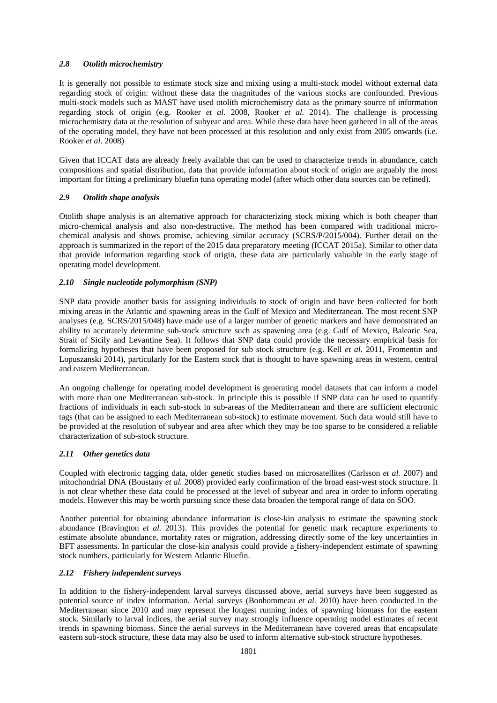### *2.8 Otolith microchemistry*

It is generally not possible to estimate stock size and mixing using a multi-stock model without external data regarding stock of origin: without these data the magnitudes of the various stocks are confounded. Previous multi-stock models such as MAST have used otolith microchemistry data as the primary source of information regarding stock of origin (e.g. Rooker *et al.* 2008, Rooker *et al.* 2014). The challenge is processing microchemistry data at the resolution of subyear and area. While these data have been gathered in all of the areas of the operating model, they have not been processed at this resolution and only exist from 2005 onwards (i.e. Rooker *et al.* 2008)

Given that ICCAT data are already freely available that can be used to characterize trends in abundance, catch compositions and spatial distribution, data that provide information about stock of origin are arguably the most important for fitting a preliminary bluefin tuna operating model (after which other data sources can be refined).

## *2.9 Otolith shape analysis*

Otolith shape analysis is an alternative approach for characterizing stock mixing which is both cheaper than micro-chemical analysis and also non-destructive. The method has been compared with traditional microchemical analysis and shows promise, achieving similar accuracy (SCRS/P/2015/004). Further detail on the approach is summarized in the report of the 2015 data preparatory meeting (ICCAT 2015a). Similar to other data that provide information regarding stock of origin, these data are particularly valuable in the early stage of operating model development.

### *2.10 Single nucleotide polymorphism (SNP)*

SNP data provide another basis for assigning individuals to stock of origin and have been collected for both mixing areas in the Atlantic and spawning areas in the Gulf of Mexico and Mediterranean. The most recent SNP analyses (e.g. SCRS/2015/048) have made use of a larger number of genetic markers and have demonstrated an ability to accurately determine sub-stock structure such as spawning area (e.g. Gulf of Mexico, Balearic Sea, Strait of Sicily and Levantine Sea). It follows that SNP data could provide the necessary empirical basis for formalizing hypotheses that have been proposed for sub stock structure (e.g. Kell *et al.* 2011, Fromentin and Lopuszanski 2014), particularly for the Eastern stock that is thought to have spawning areas in western, central and eastern Mediterranean.

An ongoing challenge for operating model development is generating model datasets that can inform a model with more than one Mediterranean sub-stock. In principle this is possible if SNP data can be used to quantify fractions of individuals in each sub-stock in sub-areas of the Mediterranean and there are sufficient electronic tags (that can be assigned to each Mediterranean sub-stock) to estimate movement. Such data would still have to be provided at the resolution of subyear and area after which they may be too sparse to be considered a reliable characterization of sub-stock structure.

#### *2.11 Other genetics data*

Coupled with electronic tagging data, older genetic studies based on microsatellites (Carlsson *et al.* 2007) and mitochondrial DNA (Boustany *et al.* 2008) provided early confirmation of the broad east-west stock structure. It is not clear whether these data could be processed at the level of subyear and area in order to inform operating models. However this may be worth pursuing since these data broaden the temporal range of data on SOO.

Another potential for obtaining abundance information is close-kin analysis to estimate the spawning stock abundance (Bravington *et al.* 2013). This provides the potential for genetic mark recapture experiments to estimate absolute abundance, mortality rates or migration, addressing directly some of the key uncertainties in BFT assessments. In particular the close-kin analysis could provide a fishery-independent estimate of spawning stock numbers, particularly for Western Atlantic Bluefin.

#### *2.12 Fishery independent surveys*

In addition to the fishery-independent larval surveys discussed above, aerial surveys have been suggested as potential source of index information. Aerial surveys (Bonhommeau *et al.* 2010) have been conducted in the Mediterranean since 2010 and may represent the longest running index of spawning biomass for the eastern stock. Similarly to larval indices, the aerial survey may strongly influence operating model estimates of recent trends in spawning biomass. Since the aerial surveys in the Mediterranean have covered areas that encapsulate eastern sub-stock structure, these data may also be used to inform alternative sub-stock structure hypotheses.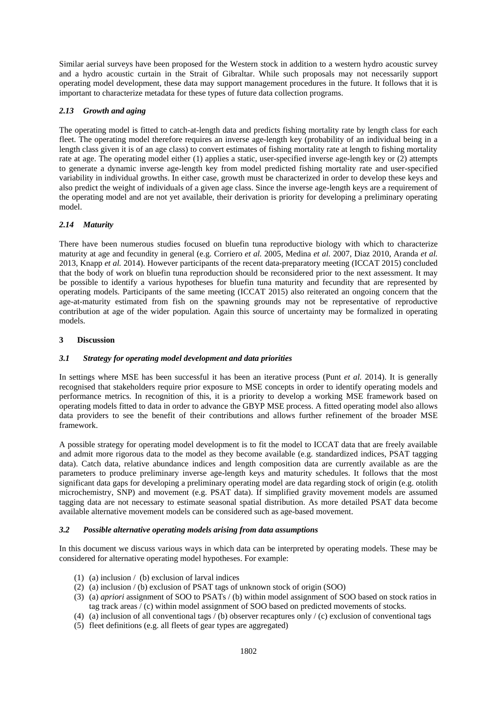Similar aerial surveys have been proposed for the Western stock in addition to a western hydro acoustic survey and a hydro acoustic curtain in the Strait of Gibraltar. While such proposals may not necessarily support operating model development, these data may support management procedures in the future. It follows that it is important to characterize metadata for these types of future data collection programs.

## *2.13 Growth and aging*

The operating model is fitted to catch-at-length data and predicts fishing mortality rate by length class for each fleet. The operating model therefore requires an inverse age-length key (probability of an individual being in a length class given it is of an age class) to convert estimates of fishing mortality rate at length to fishing mortality rate at age. The operating model either (1) applies a static, user-specified inverse age-length key or (2) attempts to generate a dynamic inverse age-length key from model predicted fishing mortality rate and user-specified variability in individual growths. In either case, growth must be characterized in order to develop these keys and also predict the weight of individuals of a given age class. Since the inverse age-length keys are a requirement of the operating model and are not yet available, their derivation is priority for developing a preliminary operating model.

# *2.14 Maturity*

There have been numerous studies focused on bluefin tuna reproductive biology with which to characterize maturity at age and fecundity in general (e.g. Corriero *et al.* 2005, Medina *et al.* 2007, Diaz 2010, Aranda *et al.*  2013, Knapp *et al.* 2014). However participants of the recent data-preparatory meeting (ICCAT 2015) concluded that the body of work on bluefin tuna reproduction should be reconsidered prior to the next assessment. It may be possible to identify a various hypotheses for bluefin tuna maturity and fecundity that are represented by operating models. Participants of the same meeting (ICCAT 2015) also reiterated an ongoing concern that the age-at-maturity estimated from fish on the spawning grounds may not be representative of reproductive contribution at age of the wider population. Again this source of uncertainty may be formalized in operating models.

## **3 Discussion**

## *3.1 Strategy for operating model development and data priorities*

In settings where MSE has been successful it has been an iterative process (Punt *et al.* 2014). It is generally recognised that stakeholders require prior exposure to MSE concepts in order to identify operating models and performance metrics. In recognition of this, it is a priority to develop a working MSE framework based on operating models fitted to data in order to advance the GBYP MSE process. A fitted operating model also allows data providers to see the benefit of their contributions and allows further refinement of the broader MSE framework.

A possible strategy for operating model development is to fit the model to ICCAT data that are freely available and admit more rigorous data to the model as they become available (e.g. standardized indices, PSAT tagging data). Catch data, relative abundance indices and length composition data are currently available as are the parameters to produce preliminary inverse age-length keys and maturity schedules. It follows that the most significant data gaps for developing a preliminary operating model are data regarding stock of origin (e.g. otolith microchemistry, SNP) and movement (e.g. PSAT data). If simplified gravity movement models are assumed tagging data are not necessary to estimate seasonal spatial distribution. As more detailed PSAT data become available alternative movement models can be considered such as age-based movement.

## *3.2 Possible alternative operating models arising from data assumptions*

In this document we discuss various ways in which data can be interpreted by operating models. These may be considered for alternative operating model hypotheses. For example:

- (1) (a) inclusion / (b) exclusion of larval indices
- (2) (a) inclusion / (b) exclusion of PSAT tags of unknown stock of origin (SOO)
- (3) (a) *apriori* assignment of SOO to PSATs / (b) within model assignment of SOO based on stock ratios in tag track areas / (c) within model assignment of SOO based on predicted movements of stocks.
- (4) (a) inclusion of all conventional tags / (b) observer recaptures only / (c) exclusion of conventional tags
- (5) fleet definitions (e.g. all fleets of gear types are aggregated)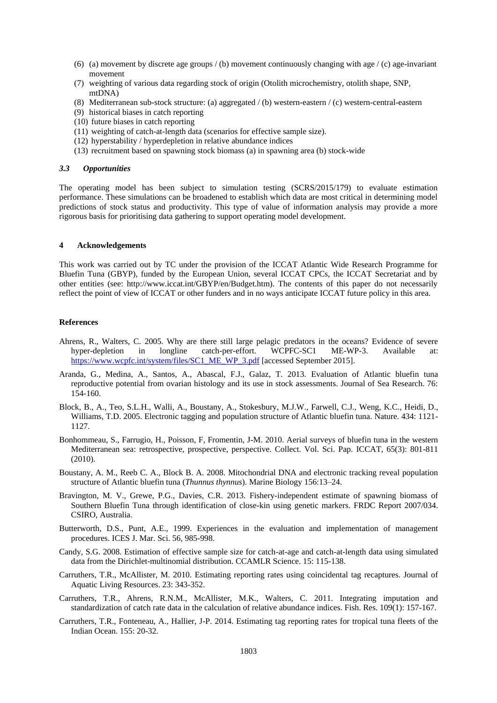- (6) (a) movement by discrete age groups  $/(b)$  movement continuously changing with age  $/(c)$  age-invariant movement
- (7) weighting of various data regarding stock of origin (Otolith microchemistry, otolith shape, SNP, mtDNA)
- (8) Mediterranean sub-stock structure: (a) aggregated / (b) western-eastern / (c) western-central-eastern
- (9) historical biases in catch reporting
- (10) future biases in catch reporting
- (11) weighting of catch-at-length data (scenarios for effective sample size).
- (12) hyperstability / hyperdepletion in relative abundance indices
- (13) recruitment based on spawning stock biomass (a) in spawning area (b) stock-wide

#### *3.3 Opportunities*

The operating model has been subject to simulation testing (SCRS/2015/179) to evaluate estimation performance. These simulations can be broadened to establish which data are most critical in determining model predictions of stock status and productivity. This type of value of information analysis may provide a more rigorous basis for prioritising data gathering to support operating model development.

#### **4 Acknowledgements**

This work was carried out by TC under the provision of the ICCAT Atlantic Wide Research Programme for Bluefin Tuna (GBYP), funded by the European Union, several ICCAT CPCs, the ICCAT Secretariat and by other entities (see: http://www.iccat.int/GBYP/en/Budget.htm). The contents of this paper do not necessarily reflect the point of view of ICCAT or other funders and in no ways anticipate ICCAT future policy in this area.

#### **References**

- Ahrens, R., Walters, C. 2005. Why are there still large pelagic predators in the oceans? Evidence of severe hyper-depletion in longline catch-per-effort. WCPFC-SC1 ME-WP-3. Available [https://www.wcpfc.int/system/files/SC1\\_ME\\_WP\\_3.pdf](https://www.wcpfc.int/system/files/SC1_ME_WP_3.pdf) [accessed September 2015].
- Aranda, G., Medina, A., Santos, A., Abascal, F.J., Galaz, T. 2013. Evaluation of Atlantic bluefin tuna reproductive potential from ovarian histology and its use in stock assessments. Journal of Sea Research. 76: 154-160.
- Block, B., A., Teo, S.L.H., Walli, A., Boustany, A., Stokesbury, M.J.W., Farwell, C.J., Weng, K.C., Heidi, D., Williams, T.D. 2005. Electronic tagging and population structure of Atlantic bluefin tuna. Nature. 434: 1121- 1127.
- Bonhommeau, S., Farrugio, H., Poisson, F, Fromentin, J-M. 2010. Aerial surveys of bluefin tuna in the western Mediterranean sea: retrospective, prospective, perspective. Collect. Vol. Sci. Pap. ICCAT, 65(3): 801-811 (2010).
- Boustany, A. M., Reeb C. A., Block B. A. 2008. Mitochondrial DNA and electronic tracking reveal population structure of Atlantic bluefin tuna (*Thunnus thynnus*). Marine Biology 156:13–24.
- Bravington, M. V., Grewe, P.G., Davies, C.R. 2013. Fishery-independent estimate of spawning biomass of Southern Bluefin Tuna through identification of close-kin using genetic markers. FRDC Report 2007/034. CSIRO, Australia.
- Butterworth, D.S., Punt, A.E., 1999. Experiences in the evaluation and implementation of management procedures. ICES J. Mar. Sci. 56, 985-998.
- Candy, S.G. 2008. Estimation of effective sample size for catch-at-age and catch-at-length data using simulated data from the Dirichlet-multinomial distribution. CCAMLR Science. 15: 115-138.
- Carruthers, T.R., McAllister, M. 2010. Estimating reporting rates using coincidental tag recaptures. Journal of Aquatic Living Resources. 23: 343-352.
- Carruthers, T.R., Ahrens, R.N.M., McAllister, M.K., Walters, C. 2011. Integrating imputation and standardization of catch rate data in the calculation of relative abundance indices. Fish. Res. 109(1): 157-167.
- Carruthers, T.R., Fonteneau, A., Hallier, J-P. 2014. Estimating tag reporting rates for tropical tuna fleets of the Indian Ocean. 155: 20-32.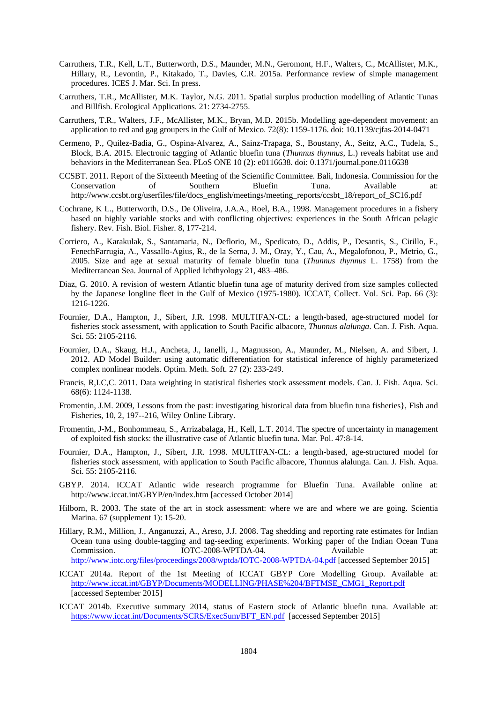- Carruthers, T.R., Kell, L.T., Butterworth, D.S., Maunder, M.N., Geromont, H.F., Walters, C., McAllister, M.K., Hillary, R., Levontin, P., Kitakado, T., Davies, C.R. 2015a. Performance review of simple management procedures. ICES J. Mar. Sci. In press.
- Carruthers, T.R., McAllister, M.K. Taylor, N.G. 2011. Spatial surplus production modelling of Atlantic Tunas and Billfish. Ecological Applications. 21: 2734-2755.
- Carruthers, T.R., Walters, J.F., McAllister, M.K., Bryan, M.D. 2015b. Modelling age-dependent movement: an application to red and gag groupers in the Gulf of Mexico. 72(8): 1159-1176. doi: 10.1139/cjfas-2014-0471
- Cermeno, P., Quilez-Badia, G., Ospina-Alvarez, A., Sainz-Trapaga, S., Boustany, A., Seitz, A.C., Tudela, S., Block, B.A. 2015. Electronic tagging of Atlantic bluefin tuna (*Thunnus thynnus,* L.) reveals habitat use and behaviors in the Mediterranean Sea. PLoS ONE 10 (2): e0116638. doi: 0.1371/journal.pone.0116638
- CCSBT. 2011. Report of the Sixteenth Meeting of the Scientific Committee. Bali, Indonesia. Commission for the Conservation of Southern Bluefin Tuna. Available at: http://www.ccsbt.org/userfiles/file/docs\_english/meetings/meeting\_reports/ccsbt\_18/report\_of\_SC16.pdf
- Cochrane, K L., Butterworth, D.S., De Oliveira, J.A.A., Roel, B.A., 1998. Management procedures in a fishery based on highly variable stocks and with conflicting objectives: experiences in the South African pelagic fishery. Rev. Fish. Biol. Fisher. 8, 177-214.
- Corriero, A., Karakulak, S., Santamaria, N., Deflorio, M., Spedicato, D., Addis, P., Desantis, S., Cirillo, F., FenechFarrugia, A., Vassallo-Agius, R., de la Serna, J. M., Oray, Y., Cau, A., Megalofonou, P., Metrio, G., 2005. Size and age at sexual maturity of female bluefin tuna (*Thunnus thynnus* L. 1758) from the Mediterranean Sea. Journal of Applied Ichthyology 21, 483–486.
- Diaz, G. 2010. A revision of western Atlantic bluefin tuna age of maturity derived from size samples collected by the Japanese longline fleet in the Gulf of Mexico (1975-1980). ICCAT, Collect. Vol. Sci. Pap. 66 (3): 1216-1226.
- Fournier, D.A., Hampton, J., Sibert, J.R. 1998. MULTIFAN-CL: a length-based, age-structured model for fisheries stock assessment, with application to South Pacific albacore, *Thunnus alalunga*. Can. J. Fish. Aqua. Sci. 55: 2105-2116.
- Fournier, D.A., Skaug, H.J., Ancheta, J., Ianelli, J., Magnusson, A., Maunder, M., Nielsen, A. and Sibert, J. 2012. AD Model Builder: using automatic differentiation for statistical inference of highly parameterized complex nonlinear models. Optim. Meth. Soft. 27 (2): 233-249.
- Francis, R,I.C,C. 2011. Data weighting in statistical fisheries stock assessment models. Can. J. Fish. Aqua. Sci. 68(6): 1124-1138.
- Fromentin, J.M. 2009, Lessons from the past: investigating historical data from bluefin tuna fisheries}, Fish and Fisheries, 10, 2, 197--216, Wiley Online Library.
- Fromentin, J-M., Bonhommeau, S., Arrizabalaga, H., Kell, L.T. 2014. The spectre of uncertainty in management of exploited fish stocks: the illustrative case of Atlantic bluefin tuna. Mar. Pol. 47:8-14.
- Fournier, D.A., Hampton, J., Sibert, J.R. 1998. MULTIFAN-CL: a length-based, age-structured model for fisheries stock assessment, with application to South Pacific albacore, Thunnus alalunga. Can. J. Fish. Aqua. Sci. 55: 2105-2116.
- GBYP. 2014. ICCAT Atlantic wide research programme for Bluefin Tuna. Available online at: http://www.iccat.int/GBYP/en/index.htm [accessed October 2014]
- Hilborn, R. 2003. The state of the art in stock assessment: where we are and where we are going. Scientia Marina. 67 (supplement 1): 15-20.
- Hillary, R.M., Million, J., Anganuzzi, A., Areso, J.J. 2008. Tag shedding and reporting rate estimates for Indian Ocean tuna using double-tagging and tag-seeding experiments. Working paper of the Indian Ocean Tuna Commission. IOTC-2008-WPTDA-04. Available at: <http://www.iotc.org/files/proceedings/2008/wptda/IOTC-2008-WPTDA-04.pdf> [accessed September 2015]
- ICCAT 2014a. Report of the 1st Meeting of ICCAT GBYP Core Modelling Group. Available at: [http://www.iccat.int/GBYP/Documents/MODELLING/PHASE%204/BFTMSE\\_CMG1\\_Report.pdf](http://www.iccat.int/GBYP/Documents/MODELLING/PHASE%204/BFTMSE_CMG1_Report.pdf) [accessed September 2015]
- ICCAT 2014b. Executive summary 2014, status of Eastern stock of Atlantic bluefin tuna. Available at: [https://www.iccat.int/Documents/SCRS/ExecSum/BFT\\_EN.pdf](https://www.iccat.int/Documents/SCRS/ExecSum/BFT_EN.pdf) [accessed September 2015]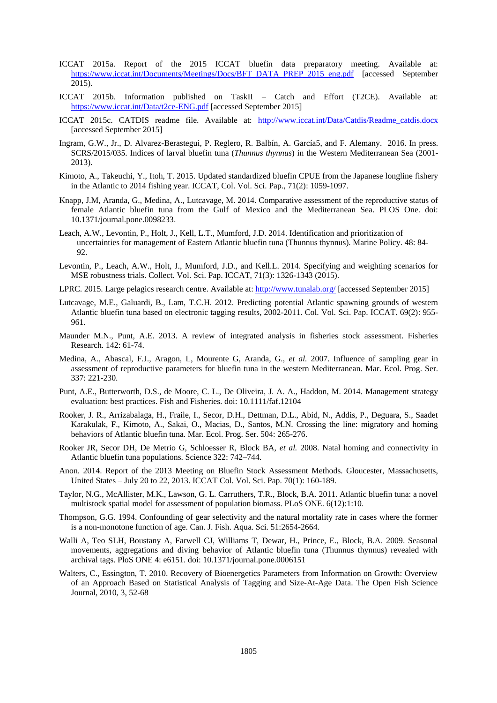- ICCAT 2015a. Report of the 2015 ICCAT bluefin data preparatory meeting. Available at: [https://www.iccat.int/Documents/Meetings/Docs/BFT\\_DATA\\_PREP\\_2015\\_eng.pdf](https://www.iccat.int/Documents/Meetings/Docs/BFT_DATA_PREP_2015_eng.pdf) [accessed September 2015).
- ICCAT 2015b. Information published on TaskII Catch and Effort (T2CE). Available at: <https://www.iccat.int/Data/t2ce-ENG.pdf> [accessed September 2015]
- ICCAT 2015c. CATDIS readme file. Available at: [http://www.iccat.int/Data/Catdis/Readme\\_catdis.docx](http://www.iccat.int/Data/Catdis/Readme_catdis.docx) [accessed September 2015]
- Ingram, G.W., Jr., D. Alvarez-Berastegui, P. Reglero, R. Balbín, A. García5, and F. Alemany. 2016. In press. SCRS/2015/035. Indices of larval bluefin tuna (*Thunnus thynnus*) in the Western Mediterranean Sea (2001- 2013).
- Kimoto, A., Takeuchi, Y., Itoh, T. 2015. Updated standardized bluefin CPUE from the Japanese longline fishery in the Atlantic to 2014 fishing year. ICCAT, Col. Vol. Sci. Pap., 71(2): 1059-1097.
- Knapp, J.M, Aranda, G., Medina, A., Lutcavage, M. 2014. Comparative assessment of the reproductive status of female Atlantic bluefin tuna from the Gulf of Mexico and the Mediterranean Sea. PLOS One. doi: 10.1371/journal.pone.0098233.
- Leach, A.W., Levontin, P., Holt, J., Kell, L.T., Mumford, J.D. 2014. Identification and prioritization of uncertainties for management of Eastern Atlantic bluefin tuna (Thunnus thynnus). Marine Policy. 48: 84- 92.
- Levontin, P., Leach, A.W., Holt, J., Mumford, J.D., and Kell.L. 2014. Specifying and weighting scenarios for MSE robustness trials. Collect. Vol. Sci. Pap. ICCAT, 71(3): 1326-1343 (2015).
- LPRC. 2015. Large pelagics research centre. Available at:<http://www.tunalab.org/> [accessed September 2015]
- Lutcavage, M.E., Galuardi, B., Lam, T.C.H. 2012. Predicting potential Atlantic spawning grounds of western Atlantic bluefin tuna based on electronic tagging results, 2002-2011. Col. Vol. Sci. Pap. ICCAT. 69(2): 955- 961.
- Maunder M.N., Punt, A.E. 2013. A review of integrated analysis in fisheries stock assessment. Fisheries Research. 142: 61-74.
- Medina, A., Abascal, F.J., Aragon, L, Mourente G, Aranda, G., *et al.* 2007. Influence of sampling gear in assessment of reproductive parameters for bluefin tuna in the western Mediterranean. Mar. Ecol. Prog. Ser. 337: 221-230.
- Punt, A.E., Butterworth, D.S., de Moore, C. L., De Oliveira, J. A. A., Haddon, M. 2014. Management strategy evaluation: best practices. Fish and Fisheries. doi: 10.1111/faf.12104
- Rooker, J. R., Arrizabalaga, H., Fraile, I., Secor, D.H., Dettman, D.L., Abid, N., Addis, P., Deguara, S., Saadet Karakulak, F., Kimoto, A., Sakai, O., Macias, D., Santos, M.N. Crossing the line: migratory and homing behaviors of Atlantic bluefin tuna. Mar. Ecol. Prog. Ser. 504: 265-276.
- Rooker JR, Secor DH, De Metrio G, Schloesser R, Block BA, *et al.* 2008. Natal homing and connectivity in Atlantic bluefin tuna populations. Science 322: 742–744.
- Anon. 2014. Report of the 2013 Meeting on Bluefin Stock Assessment Methods. Gloucester, Massachusetts, United States – July 20 to 22, 2013. ICCAT Col. Vol. Sci. Pap. 70(1): 160-189.
- Taylor, N.G., McAllister, M.K., Lawson, G. L. Carruthers, T.R., Block, B.A. 2011. Atlantic bluefin tuna: a novel multistock spatial model for assessment of population biomass. PLoS ONE. 6(12):1:10.
- Thompson, G.G. 1994. Confounding of gear selectivity and the natural mortality rate in cases where the former is a non-monotone function of age. Can. J. Fish. Aqua. Sci. 51:2654-2664.
- Walli A, Teo SLH, Boustany A, Farwell CJ, Williams T, Dewar, H., Prince, E., Block, B.A. 2009. Seasonal movements, aggregations and diving behavior of Atlantic bluefin tuna (Thunnus thynnus) revealed with archival tags. PloS ONE 4: e6151. doi: 10.1371/journal.pone.0006151
- Walters, C., Essington, T. 2010. Recovery of Bioenergetics Parameters from Information on Growth: Overview of an Approach Based on Statistical Analysis of Tagging and Size-At-Age Data. The Open Fish Science Journal, 2010, 3, 52-68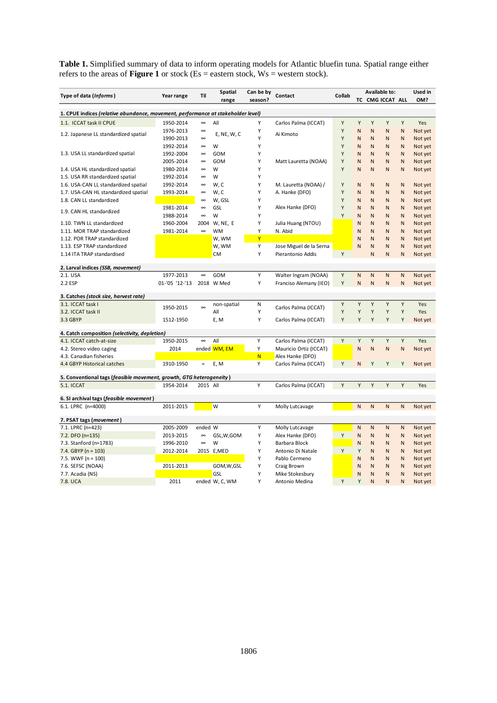**Table 1.** Simplified summary of data to inform operating models for Atlantic bluefin tuna. Spatial range either refers to the areas of **Figure 1** or stock (Es = eastern stock, Ws = western stock).

| Type of data (Informs)                                                           | Year range     | Til      | <b>Spatial</b> | Can be by | Contact                 | Collab | <b>Available to:</b> |                              |              | Used in |  |  |
|----------------------------------------------------------------------------------|----------------|----------|----------------|-----------|-------------------------|--------|----------------------|------------------------------|--------------|---------|--|--|
|                                                                                  |                |          | range          | season?   |                         |        | TC CMG ICCAT ALL     |                              | OM?          |         |  |  |
| 1. CPUE indices (relative abundance, movement, performance at stakeholder level) |                |          |                |           |                         |        |                      |                              |              |         |  |  |
| 1.1. ICCAT task II CPUE                                                          | 1950-2014      | œ        | All            | Υ         | Carlos Palma (ICCAT)    | Υ      | Y                    | Y                            | Y<br>Y       | Yes     |  |  |
|                                                                                  | 1976-2013      | $\infty$ |                | Υ         |                         | Y      | N                    | N<br>N                       | $\mathsf{N}$ | Not yet |  |  |
| 1.2. Japanese LL standardized spatial                                            | 1990-2013      | $\infty$ | E, NE, W, C    | Y         | Ai Kimoto               | Υ      | N                    | N<br>N                       | N            | Not yet |  |  |
|                                                                                  | 1992-2014      | $\infty$ | W              | Υ         |                         | Υ      | N                    | N<br>N                       | N            | Not yet |  |  |
| 1.3. USA LL standardized spatial                                                 | 1992-2004      | $\infty$ | GOM            | Υ         |                         | Υ      | N                    | $\mathsf{N}$<br>$\mathsf{N}$ | N            | Not yet |  |  |
|                                                                                  | 2005-2014      | $\infty$ | GOM            | Υ         | Matt Lauretta (NOAA)    | Y      | N                    | N<br>N                       | $\mathsf{N}$ | Not yet |  |  |
| 1.4. USA HL standardized spatial                                                 | 1980-2014      | $\infty$ | W              | Υ         |                         | Y      | N                    | N<br>N                       | N            | Not yet |  |  |
| 1.5. USA RR standardized spatial                                                 | 1992-2014      | $\infty$ | W              | Υ         |                         |        |                      |                              |              |         |  |  |
| 1.6. USA-CAN LL standardized spatial                                             | 1992-2014      | $\infty$ | w, c           | Υ         | M. Lauretta (NOAA) /    | Υ      | N                    | N<br>N                       | N            | Not yet |  |  |
| 1.7. USA-CAN HL standardized spatial                                             | 1993-2014      | $\infty$ | W, C           | Υ         | A. Hanke (DFO)          | Υ      | N                    | N<br>N                       | $\mathsf{N}$ | Not yet |  |  |
| 1.8. CAN LL standardized                                                         |                | $\infty$ | W, GSL         | Υ         |                         | Y      | N                    | N<br>N                       | $\mathsf{N}$ | Not yet |  |  |
|                                                                                  | 1981-2014      | œ        | GSL            | Υ         | Alex Hanke (DFO)        | Υ      | N                    | $\mathsf{N}$<br>N            | N            | Not yet |  |  |
| 1.9. CAN HL standardized                                                         | 1988-2014      | $\infty$ | W              | Y         |                         | Y      | N                    | N<br>N                       | $\mathsf{N}$ | Not yet |  |  |
| 1.10. TWN LL standardized                                                        | 1960-2004      | 2004     | W, NE, E       | Υ         | Julia Huang (NTOU)      |        | N                    | $\mathsf{N}$<br>N            | $\mathsf{N}$ | Not yet |  |  |
| 1.11. MOR TRAP standardized                                                      | 1981-2014      | $\infty$ | <b>WM</b>      | Υ         | N. Abid                 |        | N                    | N<br>N                       | N            | Not yet |  |  |
| 1.12. POR TRAP standardized                                                      |                |          | W, WM          | Y         |                         |        | N                    | N<br>N                       | N            | Not yet |  |  |
| 1.13. ESP TRAP standardized                                                      |                |          | W, WM          | Υ         | Jose Miguel de la Serna |        | N                    | N<br>$\mathsf{N}$            | N            | Not yet |  |  |
| 1.14 ITA TRAP standardised                                                       |                |          | <b>CM</b>      | Υ         | Pierantonio Addis       | Υ      |                      | N<br>N                       | N            | Not yet |  |  |
|                                                                                  |                |          |                |           |                         |        |                      |                              |              |         |  |  |
| 2. Larval indices (SSB, movement)                                                |                |          |                |           |                         |        |                      |                              |              |         |  |  |
| 2.1. USA                                                                         | 1977-2013      | $\infty$ | GOM            | Υ         | Walter Ingram (NOAA)    | Υ      | N                    | $\mathsf{N}$<br>${\sf N}$    | $\mathsf{N}$ | Not yet |  |  |
| 2.2 ESP                                                                          | 01-'05 '12-'13 |          | 2018 W Med     | Υ         | Franciso Alemany (IEO)  | Υ      | N                    | $\mathsf{N}$<br>${\sf N}$    | $\mathsf{N}$ | Not yet |  |  |
| 3. Catches (stock size, harvest rate)                                            |                |          |                |           |                         |        |                      |                              |              |         |  |  |
| 3.1. ICCAT task I                                                                |                | $\infty$ | non-spatial    | N         |                         | Υ      | Υ                    | Y                            | Y<br>Y       | Yes     |  |  |
| 3.2. ICCAT task II                                                               | 1950-2015      |          | All            | Υ         | Carlos Palma (ICCAT)    | Y      | Υ                    | Υ                            | Y<br>Y       | Yes     |  |  |
| 3.3 GBYP                                                                         | 1512-1950      |          | E, M           | Y         | Carlos Palma (ICCAT)    | Y      | Y                    | Y                            | Y<br>Υ       | Not yet |  |  |
|                                                                                  |                |          |                |           |                         |        |                      |                              |              |         |  |  |
| 4. Catch composition (selectivity, depletion)                                    | 1950-2015      | $\infty$ | All            | Υ         |                         | Υ      | Υ                    | Υ                            | Υ<br>Υ       | Yes     |  |  |
| 4.1. ICCAT catch-at-size                                                         |                |          | ended WM, EM   | Y         | Carlos Palma (ICCAT)    |        | N                    |                              |              |         |  |  |
| 4.2. Stereo video caging                                                         | 2014           |          |                |           | Mauricio Ortiz (ICCAT)  |        |                      | N<br>${\sf N}$               | $\mathsf{N}$ | Not yet |  |  |
| 4.3. Canadian fisheries<br>4.4 GBYP Historical catches                           | 1910-1950      | $\equiv$ |                | N<br>Y    | Alex Hanke (DFO)        | Y      | N                    | Y<br>Y                       | Y            |         |  |  |
|                                                                                  |                |          | E, M           |           | Carlos Palma (ICCAT)    |        |                      |                              |              | Not yet |  |  |
| 5. Conventional tags (feasible movement, growth, GTG heterogeneity)              |                |          |                |           |                         |        |                      |                              |              |         |  |  |
| <b>5.1. ICCAT</b>                                                                | 1954-2014      | 2015 All |                | Υ         | Carlos Palma (ICCAT)    | Y      | Y                    | Y                            | Y<br>Y       | Yes     |  |  |
| 6. SI archival tags (feasible movement)                                          |                |          |                |           |                         |        |                      |                              |              |         |  |  |
| 6.1. LPRC (n=4000)                                                               | 2011-2015      |          | W              | Υ         | Molly Lutcavage         |        | N                    | $\mathsf{N}$<br>$\mathsf{N}$ | $\mathsf{N}$ | Not yet |  |  |
|                                                                                  |                |          |                |           |                         |        |                      |                              |              |         |  |  |
| 7. PSAT tags (movement)                                                          |                |          |                |           |                         |        |                      |                              |              |         |  |  |
| 7.1. LPRC (n=423)                                                                | 2005-2009      | ended    | W              | Υ         | Molly Lutcavage         |        | N                    | $\mathsf{N}$<br>${\sf N}$    | N            | Not yet |  |  |
| 7.2. DFO (n=135)                                                                 | 2013-2015      | $\infty$ | GSL,W,GOM      | Υ         | Alex Hanke (DFO)        | Y      | N                    | N<br>N                       | N            | Not yet |  |  |
| 7.3. Stanford (n=1783)                                                           | 1996-2010      | œ        | W              | Υ         | Barbara Block           |        | N                    | N<br>N                       | N            | Not yet |  |  |
| 7.4. GBYP ( $n = 103$ )                                                          | 2012-2014      |          | 2015 E,MED     | Υ         | Antonio Di Natale       | Y      | Y                    | $\mathsf{N}$<br>$\mathsf{N}$ | N            | Not yet |  |  |
| 7.5. WWF ( $n = 100$ )                                                           |                |          |                | Υ         | Pablo Cermeno           |        | N                    | $\mathsf{N}$<br>N            | $\mathsf{N}$ | Not yet |  |  |
| 7.6. SEFSC (NOAA)                                                                | 2011-2013      |          | GOM, W, GSL    | Υ         | Craig Brown             |        | N                    | N<br>N                       | N            | Not yet |  |  |
| 7.7. Acadia (NS)                                                                 |                |          | <b>GSL</b>     | Υ         | Mike Stokesbury         |        | N                    | N<br>N                       | N            | Not yet |  |  |
| 7.8. UCA                                                                         | 2011           |          | ended W, C, WM | Υ         | Antonio Medina          | Y      | Y                    | N<br>N                       | N            | Not yet |  |  |